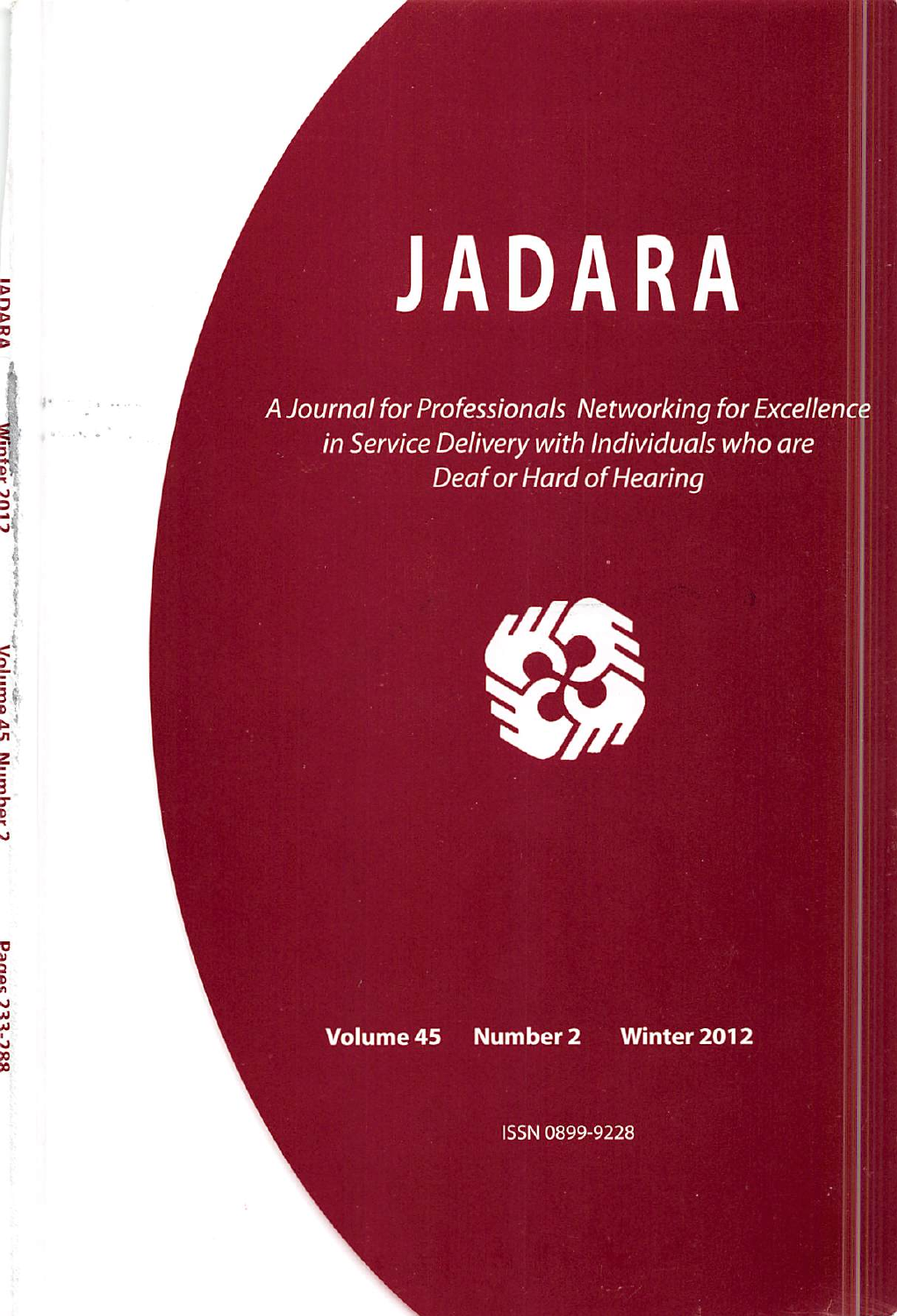## JADARA

A Journal for Professionals Networking for Excellenc in Service Delivery with Individuals who are Deaf or Hard of Hearing



**A**<br> **N**<br>
<br>
<br>
<br>
<br>
<br>
<br><br><br><br><br><br><br><br><br><br><br><br><br><br><br><br><br><br>

**Panec 732-7** 

Volume 45 Number 2 Winter 2012

ISSN 0899-9228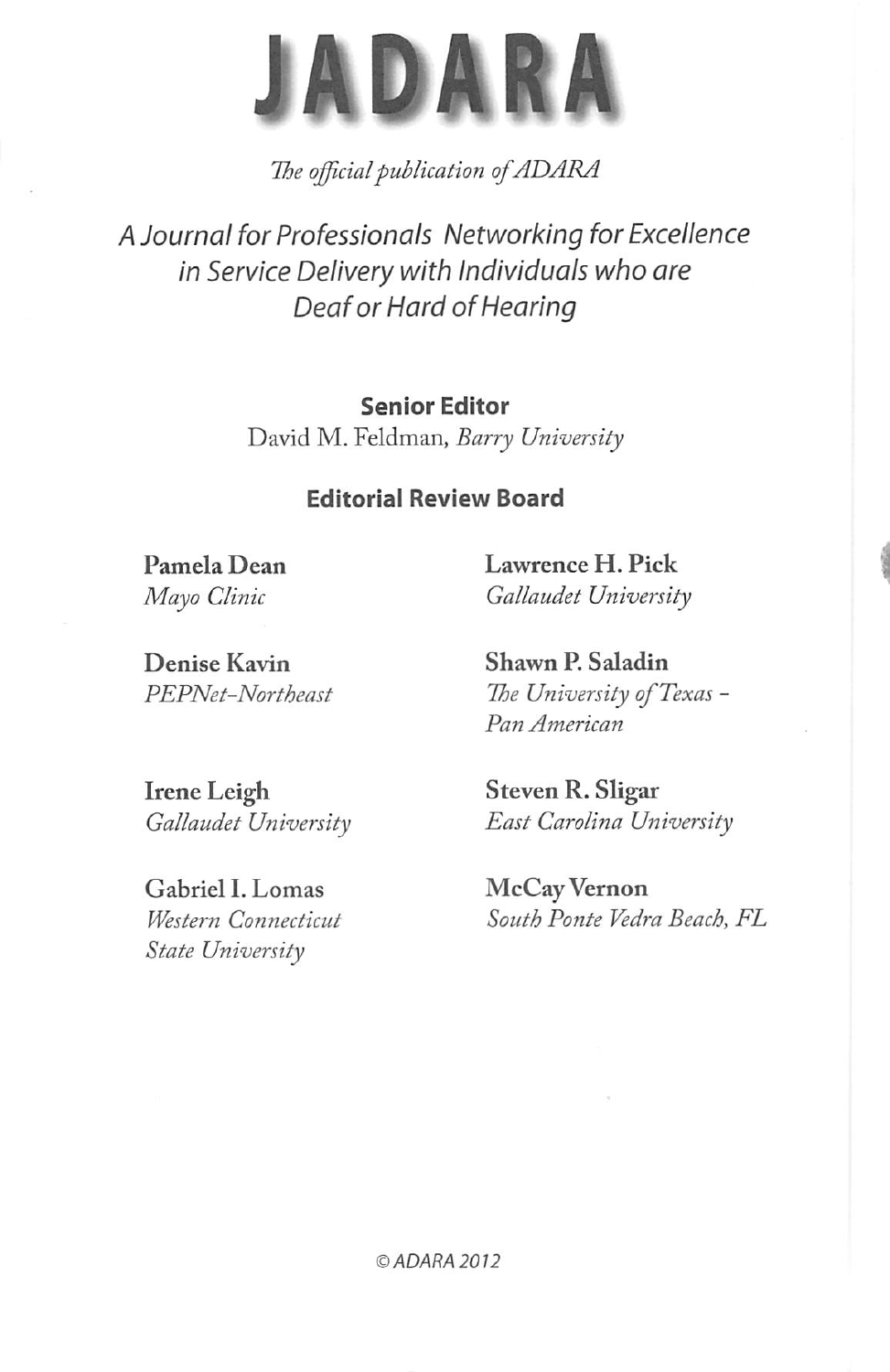

The official publication of ADARA

A Journal for Professionals Networking for Excellence in Service Delivery with Individuals who are Deaf or Hard of Hearing

## Senior Editor

David M. Feldman, Barry University

## Editorial Review Board

Pamela Dean Lawrence H. Pick Mayo Clinic Gallaudet University

Denise Kavin Shawn P. Saladin

PEPNet-Northeast The University of Texas -Pan American

Irene Leigh Steven R. Sligar

Gabriel I. Lomas McCay Vernon State University

Gallaudet University East Carolina University

Western Connecticut South Ponte Vedra Beach, FL

© ADARA 2012